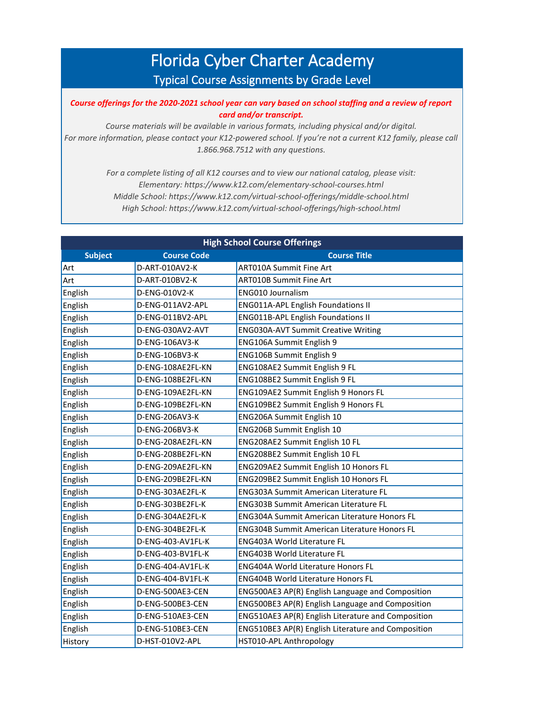## Florida Cyber Charter Academy Typical Course Assignments by Grade Level

*Course offerings for the 2020-2021 school year can vary based on school staffing and a review of report card and/or transcript.* 

*Course materials will be available in various formats, including physical and/or digital.*  For more information, please contact your K12-powered school. If you're not a current K12 family, please call *1.866.968.7512 with any questions.*

> *For a complete listing of all K12 courses and to view our national catalog, please visit: Elementary: https://www.k12.com/elementary-school-courses.html Middle School: https://www.k12.com/virtual-school-offerings/middle-school.html High School: https://www.k12.com/virtual-school-offerings/high-school.html*

| <b>High School Course Offerings</b> |                    |                                                     |  |  |
|-------------------------------------|--------------------|-----------------------------------------------------|--|--|
| <b>Subject</b>                      | <b>Course Code</b> | <b>Course Title</b>                                 |  |  |
| Art                                 | D-ART-010AV2-K     | <b>ART010A Summit Fine Art</b>                      |  |  |
| Art                                 | D-ART-010BV2-K     | <b>ART010B Summit Fine Art</b>                      |  |  |
| English                             | D-ENG-010V2-K      | <b>ENG010 Journalism</b>                            |  |  |
| English                             | D-ENG-011AV2-APL   | <b>ENG011A-APL English Foundations II</b>           |  |  |
| English                             | D-ENG-011BV2-APL   | <b>ENG011B-APL English Foundations II</b>           |  |  |
| English                             | D-ENG-030AV2-AVT   | <b>ENG030A-AVT Summit Creative Writing</b>          |  |  |
| English                             | D-ENG-106AV3-K     | ENG106A Summit English 9                            |  |  |
| English                             | D-ENG-106BV3-K     | ENG106B Summit English 9                            |  |  |
| English                             | D-ENG-108AE2FL-KN  | ENG108AE2 Summit English 9 FL                       |  |  |
| English                             | D-ENG-108BE2FL-KN  | ENG108BE2 Summit English 9 FL                       |  |  |
| English                             | D-ENG-109AE2FL-KN  | ENG109AE2 Summit English 9 Honors FL                |  |  |
| English                             | D-ENG-109BE2FL-KN  | ENG109BE2 Summit English 9 Honors FL                |  |  |
| English                             | D-ENG-206AV3-K     | ENG206A Summit English 10                           |  |  |
| English                             | D-ENG-206BV3-K     | ENG206B Summit English 10                           |  |  |
| English                             | D-ENG-208AE2FL-KN  | ENG208AE2 Summit English 10 FL                      |  |  |
| English                             | D-ENG-208BE2FL-KN  | ENG208BE2 Summit English 10 FL                      |  |  |
| English                             | D-ENG-209AE2FL-KN  | ENG209AE2 Summit English 10 Honors FL               |  |  |
| English                             | D-ENG-209BE2FL-KN  | ENG209BE2 Summit English 10 Honors FL               |  |  |
| English                             | D-ENG-303AE2FL-K   | <b>ENG303A Summit American Literature FL</b>        |  |  |
| English                             | D-ENG-303BE2FL-K   | <b>ENG303B Summit American Literature FL</b>        |  |  |
| English                             | D-ENG-304AE2FL-K   | <b>ENG304A Summit American Literature Honors FL</b> |  |  |
| English                             | D-ENG-304BE2FL-K   | <b>ENG304B Summit American Literature Honors FL</b> |  |  |
| English                             | D-ENG-403-AV1FL-K  | <b>ENG403A World Literature FL</b>                  |  |  |
| English                             | D-ENG-403-BV1FL-K  | <b>ENG403B World Literature FL</b>                  |  |  |
| English                             | D-ENG-404-AV1FL-K  | <b>ENG404A World Literature Honors FL</b>           |  |  |
| English                             | D-ENG-404-BV1FL-K  | <b>ENG404B World Literature Honors FL</b>           |  |  |
| English                             | D-ENG-500AE3-CEN   | ENG500AE3 AP(R) English Language and Composition    |  |  |
| English                             | D-ENG-500BE3-CEN   | ENG500BE3 AP(R) English Language and Composition    |  |  |
| English                             | D-ENG-510AE3-CEN   | ENG510AE3 AP(R) English Literature and Composition  |  |  |
| English                             | D-ENG-510BE3-CEN   | ENG510BE3 AP(R) English Literature and Composition  |  |  |
| History                             | D-HST-010V2-APL    | HST010-APL Anthropology                             |  |  |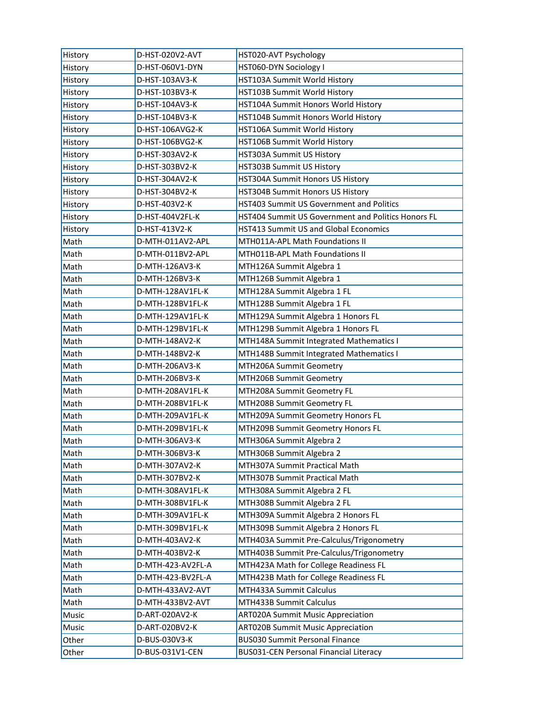| History | D-HST-020V2-AVT   | HST020-AVT Psychology                              |
|---------|-------------------|----------------------------------------------------|
| History | D-HST-060V1-DYN   | HST060-DYN Sociology I                             |
| History | D-HST-103AV3-K    | HST103A Summit World History                       |
| History | D-HST-103BV3-K    | HST103B Summit World History                       |
| History | D-HST-104AV3-K    | HST104A Summit Honors World History                |
| History | D-HST-104BV3-K    | HST104B Summit Honors World History                |
| History | D-HST-106AVG2-K   | HST106A Summit World History                       |
| History | D-HST-106BVG2-K   | HST106B Summit World History                       |
| History | D-HST-303AV2-K    | HST303A Summit US History                          |
| History | D-HST-303BV2-K    | HST303B Summit US History                          |
| History | D-HST-304AV2-K    | HST304A Summit Honors US History                   |
| History | D-HST-304BV2-K    | HST304B Summit Honors US History                   |
| History | D-HST-403V2-K     | HST403 Summit US Government and Politics           |
| History | D-HST-404V2FL-K   | HST404 Summit US Government and Politics Honors FL |
| History | D-HST-413V2-K     | <b>HST413 Summit US and Global Economics</b>       |
| Math    | D-MTH-011AV2-APL  | MTH011A-APL Math Foundations II                    |
| Math    | D-MTH-011BV2-APL  | MTH011B-APL Math Foundations II                    |
| Math    | D-MTH-126AV3-K    | MTH126A Summit Algebra 1                           |
| Math    | D-MTH-126BV3-K    | MTH126B Summit Algebra 1                           |
| Math    | D-MTH-128AV1FL-K  | MTH128A Summit Algebra 1 FL                        |
| Math    | D-MTH-128BV1FL-K  | MTH128B Summit Algebra 1 FL                        |
| Math    | D-MTH-129AV1FL-K  | MTH129A Summit Algebra 1 Honors FL                 |
| Math    | D-MTH-129BV1FL-K  | MTH129B Summit Algebra 1 Honors FL                 |
| Math    | D-MTH-148AV2-K    | MTH148A Summit Integrated Mathematics I            |
| Math    | D-MTH-148BV2-K    | MTH148B Summit Integrated Mathematics I            |
| Math    | D-MTH-206AV3-K    | MTH206A Summit Geometry                            |
| Math    | D-MTH-206BV3-K    | MTH206B Summit Geometry                            |
| Math    | D-MTH-208AV1FL-K  | MTH208A Summit Geometry FL                         |
| Math    | D-MTH-208BV1FL-K  | MTH208B Summit Geometry FL                         |
| Math    | D-MTH-209AV1FL-K  | MTH209A Summit Geometry Honors FL                  |
| Math    | D-MTH-209BV1FL-K  | MTH209B Summit Geometry Honors FL                  |
| Math    | D-MTH-306AV3-K    | MTH306A Summit Algebra 2                           |
| Math    | D-MTH-306BV3-K    | MTH306B Summit Algebra 2                           |
| Math    | D-MTH-307AV2-K    | MTH307A Summit Practical Math                      |
| Math    | D-MTH-307BV2-K    | MTH307B Summit Practical Math                      |
| Math    | D-MTH-308AV1FL-K  | MTH308A Summit Algebra 2 FL                        |
| Math    | D-MTH-308BV1FL-K  | MTH308B Summit Algebra 2 FL                        |
| Math    | D-MTH-309AV1FL-K  | MTH309A Summit Algebra 2 Honors FL                 |
| Math    | D-MTH-309BV1FL-K  | MTH309B Summit Algebra 2 Honors FL                 |
| Math    | D-MTH-403AV2-K    | MTH403A Summit Pre-Calculus/Trigonometry           |
| Math    | D-MTH-403BV2-K    | MTH403B Summit Pre-Calculus/Trigonometry           |
| Math    | D-MTH-423-AV2FL-A | MTH423A Math for College Readiness FL              |
| Math    | D-MTH-423-BV2FL-A | MTH423B Math for College Readiness FL              |
| Math    | D-MTH-433AV2-AVT  | MTH433A Summit Calculus                            |
| Math    | D-MTH-433BV2-AVT  | MTH433B Summit Calculus                            |
| Music   | D-ART-020AV2-K    | <b>ART020A Summit Music Appreciation</b>           |
| Music   | D-ART-020BV2-K    | <b>ART020B Summit Music Appreciation</b>           |
| Other   | D-BUS-030V3-K     | <b>BUS030 Summit Personal Finance</b>              |
| Other   | D-BUS-031V1-CEN   | <b>BUS031-CEN Personal Financial Literacy</b>      |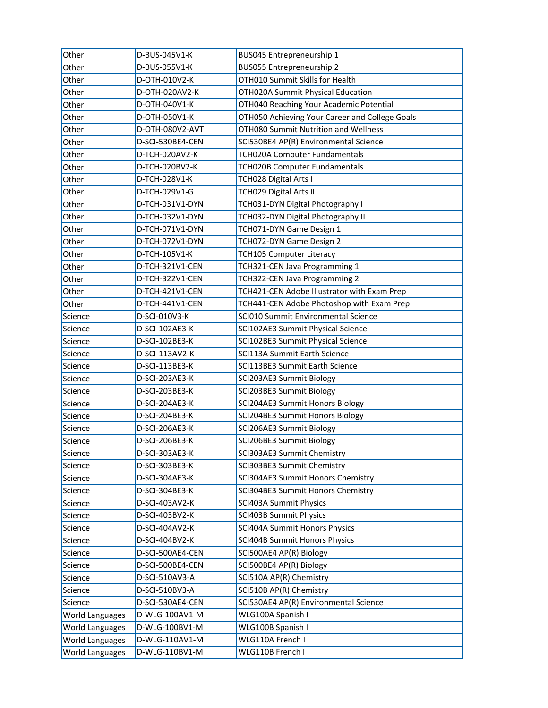| Other                  | D-BUS-045V1-K    | BUS045 Entrepreneurship 1                      |
|------------------------|------------------|------------------------------------------------|
| Other                  | D-BUS-055V1-K    | BUS055 Entrepreneurship 2                      |
| Other                  | D-OTH-010V2-K    | OTH010 Summit Skills for Health                |
| Other                  | D-OTH-020AV2-K   | OTH020A Summit Physical Education              |
| Other                  | D-OTH-040V1-K    | OTH040 Reaching Your Academic Potential        |
| Other                  | D-OTH-050V1-K    | OTH050 Achieving Your Career and College Goals |
| Other                  | D-OTH-080V2-AVT  | OTH080 Summit Nutrition and Wellness           |
| Other                  | D-SCI-530BE4-CEN | SCI530BE4 AP(R) Environmental Science          |
| Other                  | D-TCH-020AV2-K   | TCH020A Computer Fundamentals                  |
| Other                  | D-TCH-020BV2-K   | TCH020B Computer Fundamentals                  |
| Other                  | D-TCH-028V1-K    | TCH028 Digital Arts I                          |
| Other                  | D-TCH-029V1-G    | TCH029 Digital Arts II                         |
| Other                  | D-TCH-031V1-DYN  | TCH031-DYN Digital Photography I               |
| Other                  | D-TCH-032V1-DYN  | TCH032-DYN Digital Photography II              |
| Other                  | D-TCH-071V1-DYN  | TCH071-DYN Game Design 1                       |
| Other                  | D-TCH-072V1-DYN  | TCH072-DYN Game Design 2                       |
| Other                  | D-TCH-105V1-K    | <b>TCH105 Computer Literacy</b>                |
| Other                  | D-TCH-321V1-CEN  | TCH321-CEN Java Programming 1                  |
| Other                  | D-TCH-322V1-CEN  | TCH322-CEN Java Programming 2                  |
| Other                  | D-TCH-421V1-CEN  | TCH421-CEN Adobe Illustrator with Exam Prep    |
| Other                  | D-TCH-441V1-CEN  | TCH441-CEN Adobe Photoshop with Exam Prep      |
| Science                | D-SCI-010V3-K    | SCI010 Summit Environmental Science            |
| Science                | D-SCI-102AE3-K   | SCI102AE3 Summit Physical Science              |
| Science                | D-SCI-102BE3-K   | SCI102BE3 Summit Physical Science              |
| Science                | D-SCI-113AV2-K   | SCI113A Summit Earth Science                   |
| Science                | D-SCI-113BE3-K   | SCI113BE3 Summit Earth Science                 |
| Science                | D-SCI-203AE3-K   | SCI203AE3 Summit Biology                       |
| Science                | D-SCI-203BE3-K   | SCI203BE3 Summit Biology                       |
| Science                | D-SCI-204AE3-K   | SCI204AE3 Summit Honors Biology                |
| Science                | D-SCI-204BE3-K   | SCI204BE3 Summit Honors Biology                |
| Science                | D-SCI-206AE3-K   | SCI206AE3 Summit Biology                       |
| Science                | D-SCI-206BE3-K   | SCI206BE3 Summit Biology                       |
| Science                | D-SCI-303AE3-K   | SCI303AE3 Summit Chemistry                     |
| Science                | D-SCI-303BE3-K   | SCI303BE3 Summit Chemistry                     |
| Science                | D-SCI-304AE3-K   | SCI304AE3 Summit Honors Chemistry              |
| Science                | D-SCI-304BE3-K   | SCI304BE3 Summit Honors Chemistry              |
| Science                | D-SCI-403AV2-K   | SCI403A Summit Physics                         |
| Science                | D-SCI-403BV2-K   | <b>SCI403B Summit Physics</b>                  |
| Science                | D-SCI-404AV2-K   | SCI404A Summit Honors Physics                  |
| Science                | D-SCI-404BV2-K   | <b>SCI404B Summit Honors Physics</b>           |
| Science                | D-SCI-500AE4-CEN | SCI500AE4 AP(R) Biology                        |
| Science                | D-SCI-500BE4-CEN | SCI500BE4 AP(R) Biology                        |
| Science                | D-SCI-510AV3-A   | SCI510A AP(R) Chemistry                        |
| Science                | D-SCI-510BV3-A   | SCI510B AP(R) Chemistry                        |
| Science                | D-SCI-530AE4-CEN | SCI530AE4 AP(R) Environmental Science          |
| <b>World Languages</b> | D-WLG-100AV1-M   | WLG100A Spanish I                              |
| World Languages        | D-WLG-100BV1-M   | WLG100B Spanish I                              |
| World Languages        | D-WLG-110AV1-M   | WLG110A French I                               |
| <b>World Languages</b> | D-WLG-110BV1-M   | WLG110B French I                               |